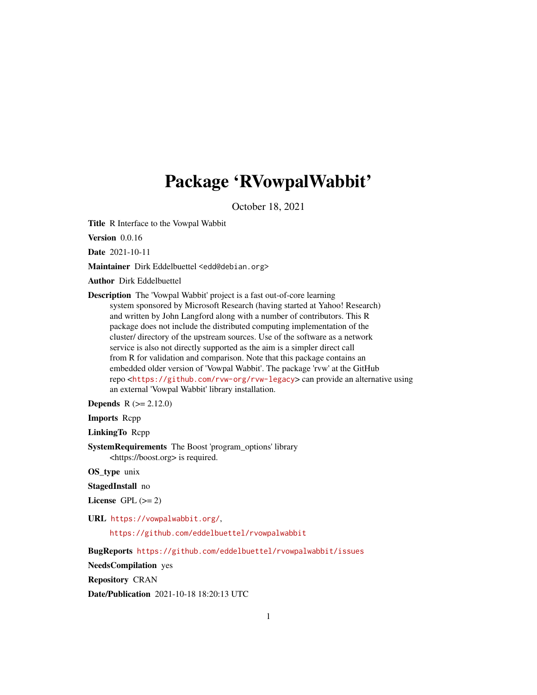## Package 'RVowpalWabbit'

October 18, 2021

Title R Interface to the Vowpal Wabbit

Version 0.0.16

Date 2021-10-11

Maintainer Dirk Eddelbuettel <edd@debian.org>

Author Dirk Eddelbuettel

Description The 'Vowpal Wabbit' project is a fast out-of-core learning system sponsored by Microsoft Research (having started at Yahoo! Research) and written by John Langford along with a number of contributors. This R package does not include the distributed computing implementation of the cluster/ directory of the upstream sources. Use of the software as a network service is also not directly supported as the aim is a simpler direct call from R for validation and comparison. Note that this package contains an embedded older version of 'Vowpal Wabbit'. The package 'rvw' at the GitHub repo <<https://github.com/rvw-org/rvw-legacy>> can provide an alternative using an external 'Vowpal Wabbit' library installation.

**Depends**  $R (= 2.12.0)$ 

Imports Rcpp

LinkingTo Rcpp

SystemRequirements The Boost 'program\_options' library <https://boost.org> is required.

OS\_type unix

StagedInstall no

License GPL  $(>= 2)$ 

URL <https://vowpalwabbit.org/>,

<https://github.com/eddelbuettel/rvowpalwabbit>

BugReports <https://github.com/eddelbuettel/rvowpalwabbit/issues>

NeedsCompilation yes

Repository CRAN

Date/Publication 2021-10-18 18:20:13 UTC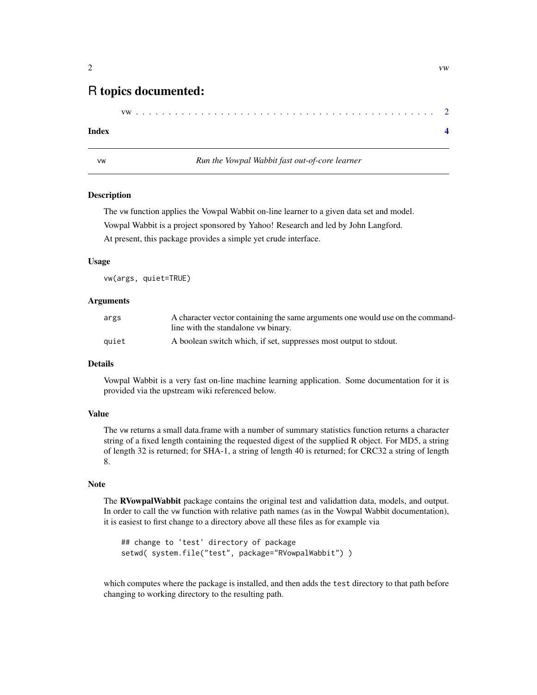### <span id="page-1-0"></span>R topics documented:

|--|--|--|--|--|--|--|--|--|--|--|--|--|--|--|--|--|--|--|--|--|--|--|--|--|--|--|--|--|--|--|--|--|--|--|--|--|--|--|--|--|--|--|--|--|--|--|--|--|--|

#### **Index** [4](#page-3-0)

vw *Run the Vowpal Wabbit fast out-of-core learner*

#### Description

The vw function applies the Vowpal Wabbit on-line learner to a given data set and model. Vowpal Wabbit is a project sponsored by Yahoo! Research and led by John Langford. At present, this package provides a simple yet crude interface.

#### Usage

vw(args, quiet=TRUE)

#### Arguments

| args  | A character vector containing the same arguments one would use on the command- |
|-------|--------------------------------------------------------------------------------|
|       | line with the standalone vw binary.                                            |
| quiet | A boolean switch which, if set, suppresses most output to stdout.              |

#### Details

Vowpal Wabbit is a very fast on-line machine learning application. Some documentation for it is provided via the upstream wiki referenced below.

#### Value

The vw returns a small data.frame with a number of summary statistics function returns a character string of a fixed length containing the requested digest of the supplied R object. For MD5, a string of length 32 is returned; for SHA-1, a string of length 40 is returned; for CRC32 a string of length 8.

#### Note

The RVowpalWabbit package contains the original test and validattion data, models, and output. In order to call the vw function with relative path names (as in the Vowpal Wabbit documentation), it is easiest to first change to a directory above all these files as for example via

```
## change to 'test' directory of package
setwd( system.file("test", package="RVowpalWabbit") )
```
which computes where the package is installed, and then adds the test directory to that path before changing to working directory to the resulting path.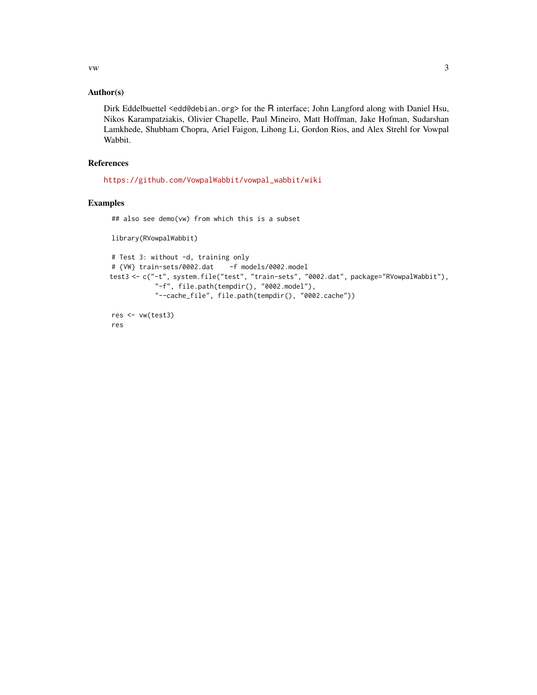$vw$  3

#### Author(s)

Dirk Eddelbuettel <edd@debian.org> for the R interface; John Langford along with Daniel Hsu, Nikos Karampatziakis, Olivier Chapelle, Paul Mineiro, Matt Hoffman, Jake Hofman, Sudarshan Lamkhede, Shubham Chopra, Ariel Faigon, Lihong Li, Gordon Rios, and Alex Strehl for Vowpal Wabbit.

#### References

[https://github.com/VowpalWabbit/vowpal\\_wabbit/wiki](https://github.com/VowpalWabbit/vowpal_wabbit/wiki)

#### Examples

## also see demo(vw) from which this is a subset

library(RVowpalWabbit)

```
# Test 3: without -d, training only
# {VW} train-sets/0002.dat -f models/0002.model
test3 <- c("-t", system.file("test", "train-sets", "0002.dat", package="RVowpalWabbit"),
           "-f", file.path(tempdir(), "0002.model"),
           "--cache_file", file.path(tempdir(), "0002.cache"))
res <- vw(test3)
```
res